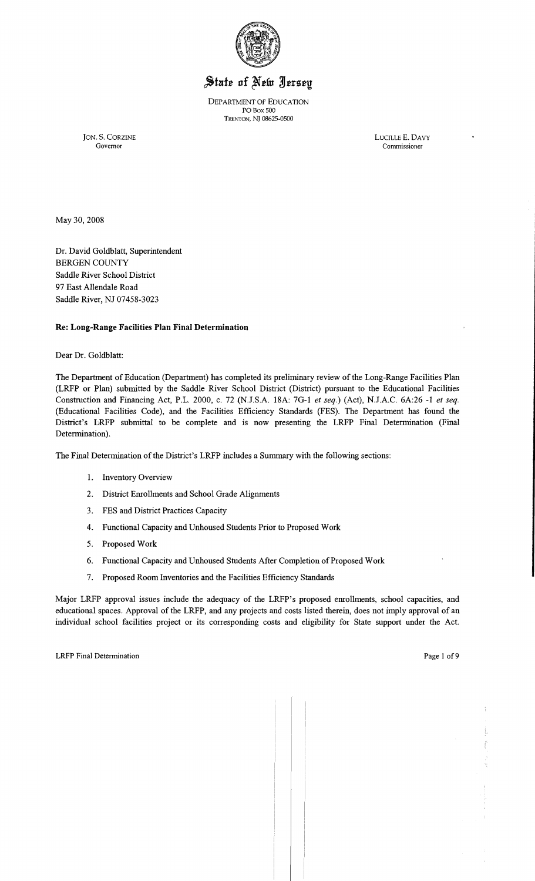

# State of New Jersey

DEPARTMENT OF EDUCATION POBox 500 TRENTON, Nl 08625-0500

JON. S. CORZINE LUCILLE E. DAVY Governor Commissioner

May 30,2008

Dr. David Goldblatt, Superintendent BERGEN COUNTY Saddle River School District 97 East Allendale Road Saddle River, NJ 07458-3023

# Re: Long-Range Facilities Plan Final Determination

Dear Dr. Goldblatt:

The Department of Education (Department) has completed its preliminary review of the Long-Range Facilities Plan (LRFP or Plan) submitted by the Saddle River School District (District) pursuant to the Educational Facilities Construction and Financing Act, P.L. 2000, c. 72 {N.J.S.A. 18A: 7G-l *et seq.)* (Act), N.J.A.C. 6A:26 -1 *et seq.*  (Educational Facilities Code), and the Facilities Efficiency Standards (FES). The Department has found the District's LRFP submittal to be complete and is now presenting the LRFP Final Determination (Final Determination).

The Final Determination of the District's LRFP includes a Summary with the following sections:

- 1. Inventory Overview
- 2. District Enrollments and School Grade Alignments
- 3. FES and District Practices Capacity
- 4. Functional Capacity and Unhoused Students Prior to Proposed Work
- 5. Proposed Work
- 6. Functional Capacity and Unhoused Students After Completion of Proposed Work
- 7. Proposed Room Inventories and the Facilities Efficiency Standards

Major LRFP approval issues include the adequacy of the LRFP's proposed enrollments, school capacities, and educational spaces. Approval of the LRFP, and any projects and costs listed therein, does not imply approval of an individual school facilities project or its corresponding costs and eligibility for State support under the Act.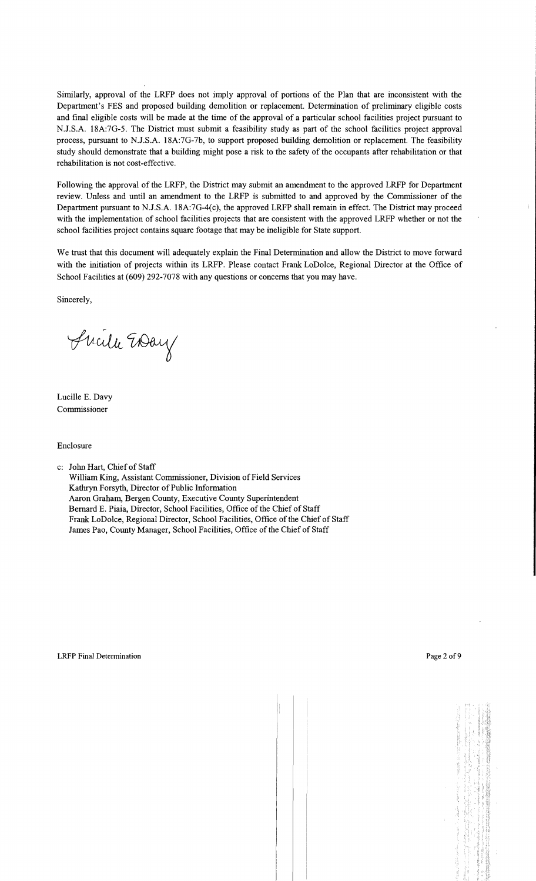Similarly, approval of the LRFP does not imply approval of portions of the Plan that are inconsistent with the Department's FES and proposed building demolition or replacement. Determination of preliminary eligible costs and final eligible costs will be made at the time of the approval of a particular school facilities project pursuant to N.J.S.A. 18A:7G-5. The District must submit a feasibility study as part of the school facilities project approval process, pursuant to N.J.S.A. 18A:7G-7b, to support proposed building demolition or replacement. The feasibility study should demonstrate that a building might pose a risk to the safety of the occupants after rehabilitation or that rehabilitation is not cost-effective.

Following the approval of the LRFP, the District may submit an amendment to the approved LRFP for Department review. Unless and until an amendment to the LRFP is submitted to and approved by the Commissioner of the Department pursuant to N.J.S.A. 18A:7G-4(c), the approved LRFP shall remain in effect. The District may proceed with the implementation of school facilities projects that are consistent with the approved LRFP whether or not the school facilities project contains square footage that may be ineligible for State support.

We trust that this document will adequately explain the Final Determination and allow the District to move forward with the initiation of projects within its LRFP. Please contact Frank LoDolce, Regional Director at the Office of School Facilities at (609) 292-7078 with any questions or concerns that you may have.

Sincerely,

Suite Evay

Lucille E. Davy Commissioner

#### Enclosure

c: John Hart, Chief of Staff

William King, Assistant Commissioner, Division of Field Services Kathryn Forsyth, Director of Public Information Aaron Graham, Bergen County, Executive County Superintendent Bernard E. Piaia, Director, School Facilities, Office of the Chief of Staff Frank LoDolce, Regional Director, School Facilities, Office of the Chief of Staff James Pao, County Manager, School Facilities, Office of the Chief of Staff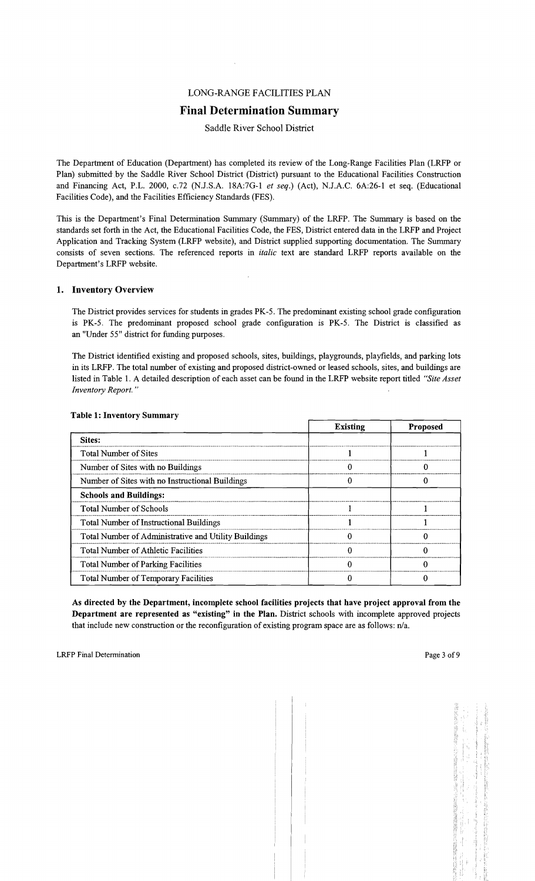# LONG-RANGE FACILITIES PLAN

# Final Determination Summary

#### Saddle River School District

The Department of Education (Department) has completed its review of the Long-Range Facilities Plan (LRFP or Plan) submitted by the Saddle River School District (District) pursuant to the Educational Facilities Construction and Financing Act, P.L. 2000, c.72 (NJ.S.A. 18A:7G-1 *et seq.)* (Act), NJ.A.C. 6A:26-1 et seq. (Educational Facilities Code), and the Facilities Efficiency Standards (FES).

This is the Department's Final Determination Summary (Summary) of the LRFP. The Summary is based on the standards set forth in the Act, the Educational Facilities Code, the FES, District entered data in the LRFP and Project Application and Tracking System (LRFP website), and District supplied supporting documentation. The Summary consists of seven sections. The referenced reports in *italic* text are standard LRFP reports available on the Department's LRFP website.

#### 1. Inventory Overview

The District provides services for students in grades PK-5. The predominant existing school grade configuration is PK-5. The predominant proposed school grade configuration is PK-5. The District is classified as an "Under 55" district for funding purposes.

The District identified existing and proposed schools, sites, buildings, playgrounds, playfie1ds, and parking lots in its LRFP. The total number of existing and proposed district-owned or leased schools, sites, and buildings are listed in Table 1. A detailed description of each asset can be found in the LRFP website report titled *"Site Asset Inventory Report. "* 

|                                                      | <b>Existing</b> | <b>Proposed</b> |
|------------------------------------------------------|-----------------|-----------------|
| Sites:                                               |                 |                 |
| <b>Total Number of Sites</b>                         |                 |                 |
| Number of Sites with no Buildings                    |                 |                 |
| Number of Sites with no Instructional Buildings      |                 |                 |
| <b>Schools and Buildings:</b>                        |                 |                 |
| <b>Total Number of Schools</b>                       |                 |                 |
| <b>Total Number of Instructional Buildings</b>       |                 |                 |
| Total Number of Administrative and Utility Buildings |                 |                 |
| <b>Total Number of Athletic Facilities</b>           |                 |                 |
| <b>Total Number of Parking Facilities</b>            |                 |                 |
| Total Number of Temporary Facilities                 |                 |                 |

#### Table 1: Inventory Summary

As directed by the Department, incomplete school facilities projects that have project approval from the Department are represented as "existing" in the Plan. District schools with incomplete approved projects that include new construction or the reconfiguration of existing program space are as follows: n/a.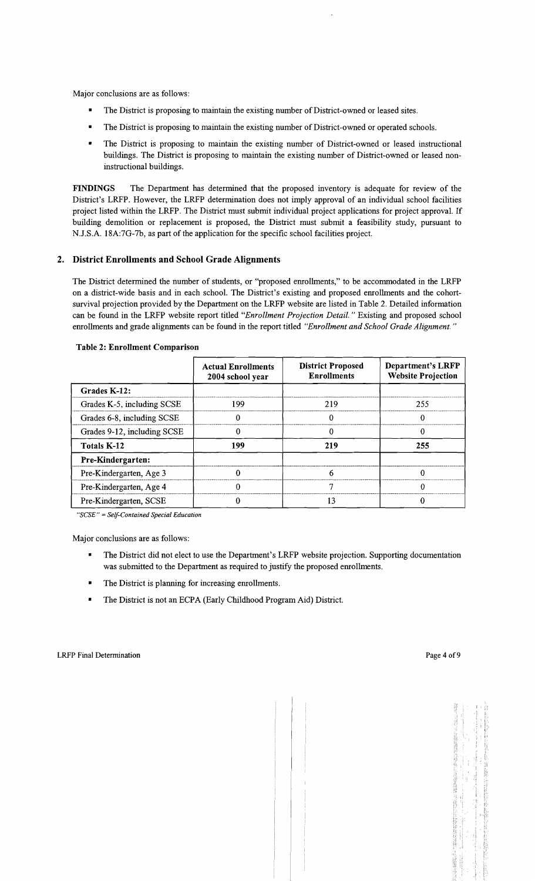Major conclusions are as follows:

- The District is proposing to maintain the existing number of District-owned or leased sites.
- The District is proposing to maintain the existing number of District-owned or operated schools.
- The District is proposing to maintain the existing number of District-owned or leased instructional buildings. The District is proposing to maintain the existing number of District-owned or leased noninstructional buildings.

FINDINGS The Department has determined that the proposed inventory is adequate for review of the District's LRFP. However, the LRFP determination does not imply approval of an individual school facilities project listed within the LRFP. The District must submit individual project applications for project approval. If building demolition or replacement is proposed, the District must submit a feasibility study, pursuant to N.J.S.A. 18A:7G-7b, as part of the application for the specific school facilities project.

#### 2. District Enrollments and School Grade Alignments

The District determined the number of students, or "proposed enrollments," to be accommodated in the LRFP on a district-wide basis and in each school. The District's existing and proposed enrollments and the cohortsurvival projection provided by the Department on the LRFP website are listed in Table 2. Detailed information can be found in the LRFP website report titled "Enrollment Projection Detail." Existing and proposed school enrollments and grade alignments can be found in the report titled *"Enrollment and School Grade Alignment."* 

|                             | <b>Actual Enrollments</b><br>2004 school year | <b>District Proposed</b><br><b>Enrollments</b> | Department's LRFP<br><b>Website Projection</b> |  |
|-----------------------------|-----------------------------------------------|------------------------------------------------|------------------------------------------------|--|
| Grades K-12:                |                                               |                                                |                                                |  |
| Grades K-5, including SCSE  | 199<br>219                                    |                                                | 255                                            |  |
| Grades 6-8, including SCSE  |                                               |                                                | $\Omega$                                       |  |
| Grades 9-12, including SCSE |                                               |                                                |                                                |  |
| Totals K-12                 | 199                                           |                                                | 255                                            |  |
| Pre-Kindergarten:           |                                               |                                                |                                                |  |
| Pre-Kindergarten, Age 3     |                                               |                                                |                                                |  |
| Pre-Kindergarten, Age 4     |                                               |                                                | O                                              |  |
| Pre-Kindergarten, SCSE      |                                               | 13                                             |                                                |  |

#### Table 2: Enrollment Comparison

*"SCSE"* = *Self-Contained Special Education* 

Major conclusions are as follows:

- The District did not elect to use the Department's LRFP website projection. Supporting documentation was submitted to the Department as required to justify the proposed enrollments.
- The District is planning for increasing enrollments.
- The District is not an ECPA (Early Childhood Program Aid) District.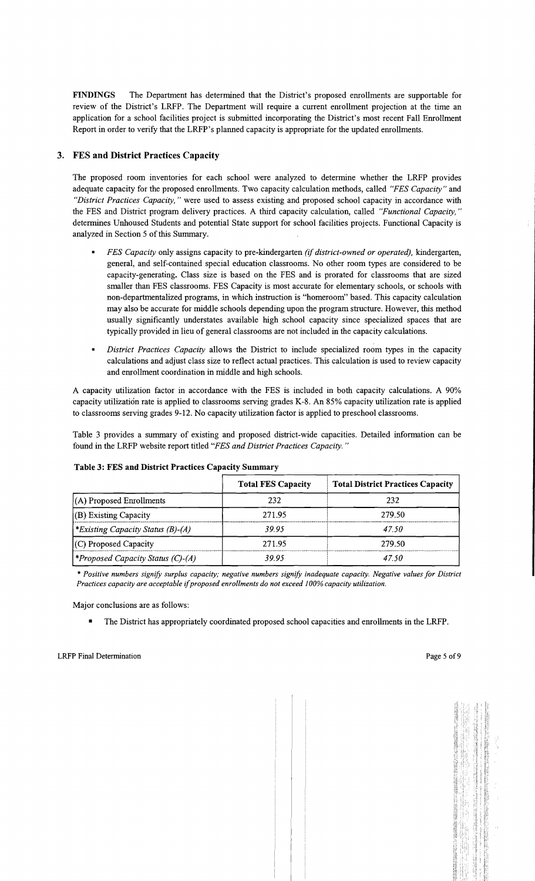FINDINGS The Department has determined that the District's proposed enrollments are supportable for review of the District's LRFP. The Department will require a current enrollment projection at the time an application for a school facilities project is submitted incorporating the District's most recent Fall Enrollment Report in order to verify that the LRFP's planned capacity is appropriate for the updated enrollments.

# 3. FES and District Practices Capacity

The proposed room inventories for each school were analyzed to determine whether the LRFP provides adequate capacity for the proposed enrollments. Two capacity calculation methods, called *"FES Capacity"* and *"District Practices Capacity,* " were used to assess existing and proposed school capacity in accordance with the FES and District program delivery practices. A third capacity calculation, called *"Functional Capacity, "*  determines Unhoused Students and potential State support for school facilities projects. Functional Capacity is analyzed in Section 5 of this Summary.

- *FES Capacity* only assigns capacity to pre-kindergarten *(if district-owned or operated),* kindergarten, general, and self-contained special education classrooms. No other room types are considered to be capacity-generating. Class size is based on the FES and is prorated for classrooms that are sized smaller than FES classrooms. FES Capacity is most accurate for elementary schools, or schools with non-departmentalized programs, in which instruction is "homeroom" based. This capacity calculation may also be accurate for middle schools depending upon the program structure. However, this method usually significantly understates available high school capacity since specialized spaces that are typically provided in lieu of general classrooms are not included in the capacity calculations.
- *District Practices Capacity* allows the District to include specialized room types in the capacity calculations and adjust class size to reflect actual practices. This calculation is used to review capacity and enrollment coordination in middle and high schools.

A capacity utilization factor in accordance with the FES is included in both capacity calculations. A 90% capacity utilization rate is applied to classrooms serving grades K-8. An 85% capacity utilization rate is applied to classrooms serving grades 9-12. No capacity utilization factor is applied to preschool classrooms.

Table 3 provides a summary of existing and proposed district-wide capacities. Detailed information can be found in the' LRFP website report titled *"FES and District Practices Capacity. "* 

| Table 3: FES and District Practices Capacity Summary |                           |                                          |  |  |
|------------------------------------------------------|---------------------------|------------------------------------------|--|--|
|                                                      | <b>Total FES Capacity</b> | <b>Total District Practices Capacity</b> |  |  |
| $(A)$ Proposed Enrollments                           | 232                       | 232                                      |  |  |
| $(B)$ Existing Capacity                              | 271.95                    | 279.50                                   |  |  |
| *Existing Capacity Status (B)-(A)                    | 39.95                     | 47.50                                    |  |  |
| $(C)$ Proposed Capacity                              | 271.95                    | 279.50                                   |  |  |
| <i><b>*Proposed Capacity Status (C)-(A)</b></i>      | 39.95                     | 47.50                                    |  |  |

# Table 3: FES and District Practices Capacity Summary

\* *Positive numbers signify surplus capacity; negative numbers signify inadequate capacity. Negative values for District Practices capacity are acceptable* if*proposed enrollments do not exceed 100% capacity utilization.* 

Major conclusions are as follows:

• The District has appropriately coordinated proposed school capacities and enrollments in the LRFP.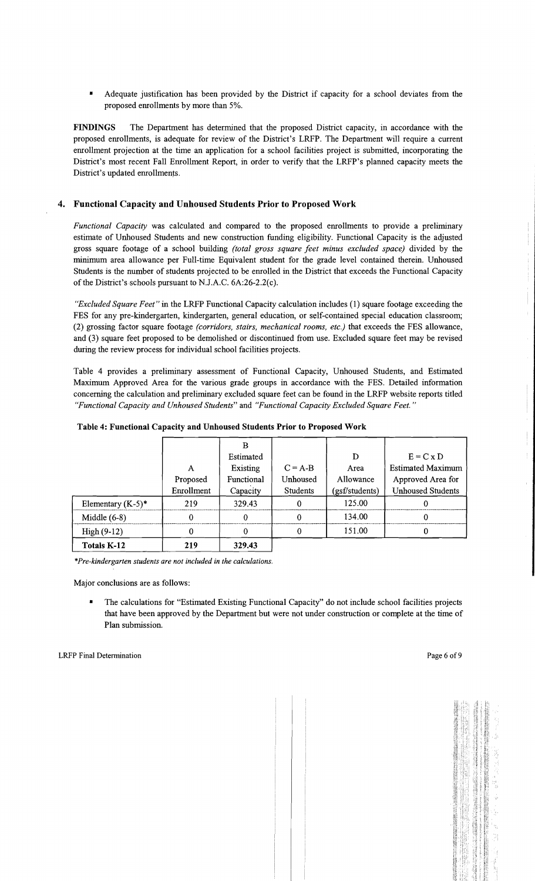• Adequate justification has been provided by the District if capacity for a school deviates from the proposed enrollments by more than 5%.

**FINDINGS** The Department has determined that the proposed District capacity, in accordance with the proposed enrollments, is adequate for review of the District's LRFP. The Department will require a current enrollment projection at the time an application for a school facilities project is submitted, incorporating the District's most recent Fall Enrollment Report, in order to verify that the LRFP's planned capacity meets the District's updated enrollmems.

#### **4. Functional Capacity and Unhoused Students Prior to Proposed Work**

*Functional Capacity* was calculated and compared to the proposed enrollments to provide a preliminary estimate of Unhoused Students and new construction funding eligibility. Functional Capacity is the adjusted gross square footage of a school building *(total gross square feet minus excluded space)* divided by the minimum area allowance per Full-time Equivalent student for the grade level contained therein. Unhoused Students is the number of students projected to be enrolled in the District that exceeds the Functional Capacity of the District's schools pursuant to N.J.A.C. 6A:26-2.2(c).

*"Excluded Square Feet"* in the LRFP Functional Capacity calculation includes (1) square footage exceeding the FES for any pre-kindergarten, kindergarten, general education, or self-contained special education classroom; (2) grossing factor square footage *(corridors, stairs, mechanical rooms, etc)* that exceeds the FES allowance, and (3) square feet proposed to be demolished or discontinued from use. Excluded square feet may be revised during the review process for individual school facilities projects.

Table 4 provides a preliminary assessment of Functional Capacity, Unhoused Students, and Estimated Maximum Approved Area for the various grade groups in accordance with the FES. Detailed information concerning the calculation and preliminary excluded square feet can be found in the LRFP website reports titled *"Functional Capacity and Unhoused Students"* and *"Functional Capacity Excluded Square Feet. "* 

|                      |            | в          |           |                |                          |
|----------------------|------------|------------|-----------|----------------|--------------------------|
|                      |            | Estimated  |           | D              | $E = C \times D$         |
|                      | A          | Existing   | $C = A-B$ | Area           | <b>Estimated Maximum</b> |
|                      | Proposed   | Functional | Unhoused  | Allowance      | Approved Area for        |
|                      | Enrollment | Capacity   | Students  | (gsf/students) | <b>Unhoused Students</b> |
| Elementary $(K-5)^*$ | 219        | 329.43     |           | 125.00         |                          |
| Middle $(6-8)$       |            | 0          |           | 134.00         |                          |
| $High (9-12)$        |            |            |           | 151.00         |                          |
| Totals K-12          | 219        | 329.43     |           |                |                          |

**Table 4: Functional Capacity and Unhoused Students Prior to Proposed Work** 

\**Pre-kindergarten students are not included in the calculations.* 

Major conclusions are as follows:

• The calculations for "Estimated Existing Functional Capacity" do not include school facilities projects that have been approved by the Department but were not under construction or complete at the time of Plan submission.

 $\frac{1}{2}$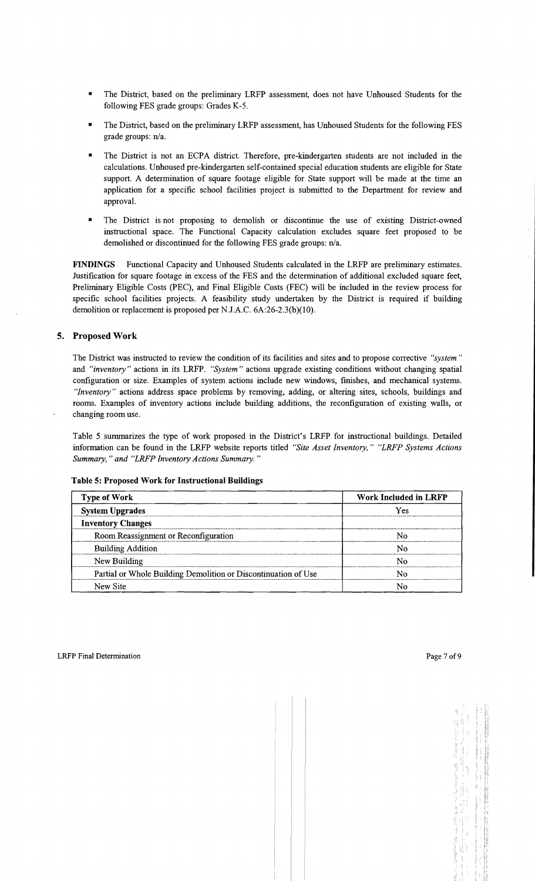- The District, based on the preliminary LRFP assessment, does not have Unhoused Students for the following FES grade groups: Grades K-5.
- The District, based on the preliminary LRFP assessment, has Unhoused Students for the following FES grade groups: n/a.
- The District is not an ECPA district. Therefore, pre-kindergarten students are not included in the calculations. Unhoused pre-kindergarten self-contained special education students are eligible for State support. A determination of square footage eligible for State support will be made at the time an application for a specific school facilities project is submitted to the Department for review and approval.
- The District is not proposing to demolish or discontinue the use of existing District-owned instructional space. The Functional Capacity calculation excludes square feet proposed to be demolished or discontinued for the following FES grade groups:  $n/a$ .

FINDINGS Functional Capacity and Unhoused Students calculated in the LRFP are preliminary estimates. Justification for square footage in excess of the FES and the determination of additional excluded square feet, Preliminary Eligible Costs (PEC), and Final Eligible Costs (FEC) will be included in the review process for specific school facilities projects. A feasibility study undertaken by the District is required if building demolition or replacement is proposed per NJ.A.C. 6A:26-2.3(b)(10).

# 5. Proposed Work

The District was instructed to review the condition of its facilities and sites and to propose corrective *"system"*  and *"inventory"* actions in its LRFP. *"System"* actions upgrade existing conditions without changing spatial configuration or size. Examples of system actions include new windows, finishes, and mechanical systems. *"Inventory"* actions address space problems by removing, adding, or altering sites, schools, buildings and rooms. Examples of inventory actions include building additions, the reconfiguration of existing walls, or changing room use.

Table 5 summarizes the type of work proposed in the District's LRFP for instructional buildings. Detailed information can be found in the LRFP website reports titled *"Site Asset Inventory," "LRFP Systems Actions Summary," and "LRFP Inventory Actions Summary."* 

| <b>Type of Work</b>                                            | Work Included in LRFP |  |  |
|----------------------------------------------------------------|-----------------------|--|--|
| <b>System Upgrades</b>                                         | Yes                   |  |  |
| <b>Inventory Changes</b>                                       |                       |  |  |
| Room Reassignment or Reconfiguration                           | N٥                    |  |  |
| <b>Building Addition</b>                                       | N٥                    |  |  |
| New Building                                                   | N٥                    |  |  |
| Partial or Whole Building Demolition or Discontinuation of Use | Ν٥                    |  |  |
| New Site                                                       |                       |  |  |

#### Table 5: Proposed Work for Instructional Buildings

Ŷ.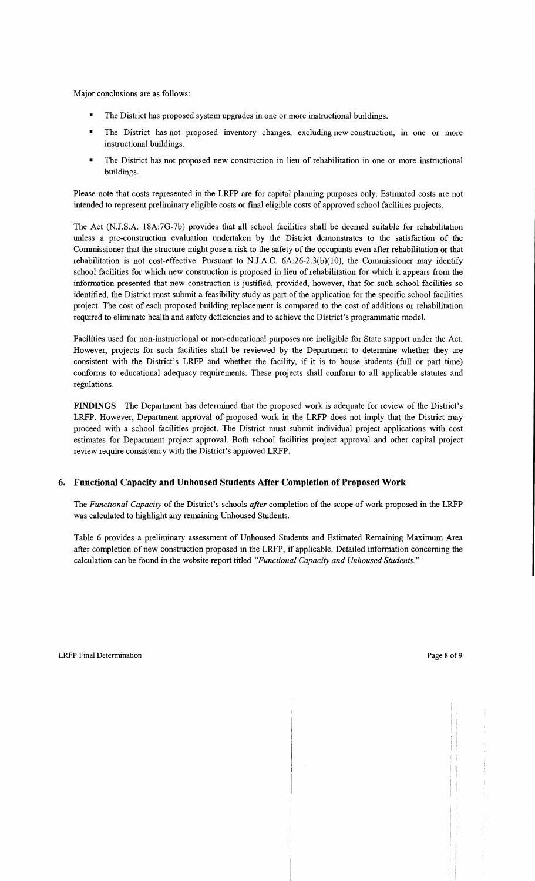Major conclusions are as follows:

- $\blacksquare$  The District has proposed system upgrades in one or more instructional buildings.
- The District has not proposed inventory changes, excluding new construction, in one or more instructional buildings.
- The District has not proposed new construction in lieu of rehabilitation in one or more instructional buildings.

Please note that costs represented in the LRFP are for capital planning purposes only. Estimated costs are not intended to represent preliminary eligible costs or final eligible costs of approved school facilities projects.

The Act (N.J.S.A. 18A:7G-7b) provides that all school facilities shall be deemed suitable for rehabilitation unless a pre-construction evaluation undertaken by the District demonstrates to the satisfaction of the Commissioner that the structure might pose a risk to the safety of the occupants even after rehabilitation or that rehabilitation is not cost-effective. Pursuant to N.J.A.C.  $6A:26-2.3(b)(10)$ , the Commissioner may identify school facilities for which new construction is proposed in lieu of rehabilitation for which it appears from the information presented that new construction is justified, provided, however, that for such school facilities so identified, the District must submit a feasibility study as part of the application for the specific school facilities project. The cost of each proposed building replacement is compared to the cost of additions or rehabilitation required to eliminate health and safety deficiencies and to achieve the District's programmatic model.

Facilities used for non-instructional or non-educational purposes are ineligible for State support under the Act. However, projects for such facilities shall be reviewed by the Department to determine whether they are consistent with the District's LRFP and whether the facility, if it is to house students (full or part time) confonns to educational adequacy requirements. These projects shall conform to all applicable statutes and regulations.

**FINDINGS** The Department has determined that the proposed work is adequate for review of the District's LRFP. However, Department approval of proposed work in the LRFP does not imply that the District may proceed with a school facilities project. The District must submit individual project applications with cost estimates for Department project approval. Both school facilities project approval and other capital project review require consistency with the District's approved LRFP.

#### **6. Functional Capacity and Unhoused Students After Completion** of Proposed **Work**

The *Functional Capacity* of the District's schools *after* completion of the scope of work proposed in the LRFP was calculated to highlight any remaining Unhoused Students.

Table 6 provides a preliminary assessment of Unhoused Students and Estimated Remaining Maximum Area after completion of new construction proposed in the LRFP, if applicable. Detailed information concerning the calculation can be found in the website report titled *"Functional Capacity and Unhoused Students."*